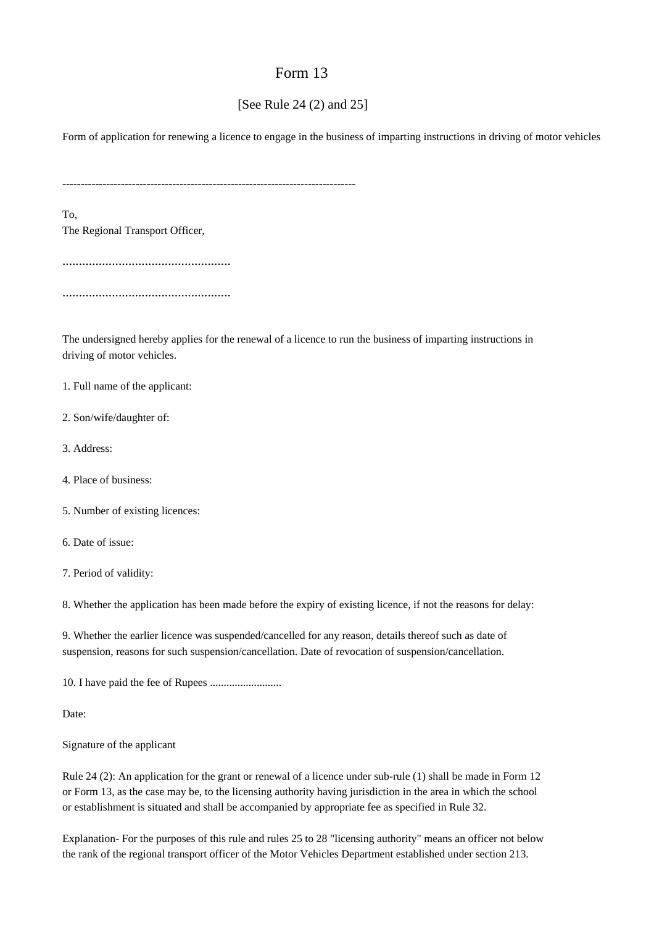## Form 13

## [See Rule 24 (2) and 25]

Form of application for renewing a licence to engage in the business of imparting instructions in driving of motor vehicles

--------------------------------------------------------------------------------

To, The Regional Transport Officer,

...................................................

...................................................

The undersigned hereby applies for the renewal of a licence to run the business of imparting instructions in driving of motor vehicles.

1. Full name of the applicant:

2. Son/wife/daughter of:

3. Address:

4. Place of business:

5. Number of existing licences:

6. Date of issue:

7. Period of validity:

8. Whether the application has been made before the expiry of existing licence, if not the reasons for delay:

9. Whether the earlier licence was suspended/cancelled for any reason, details thereof such as date of suspension, reasons for such suspension/cancellation. Date of revocation of suspension/cancellation.

10. I have paid the fee of Rupees ..........................

Date:

Signature of the applicant

Rule 24 (2): An application for the grant or renewal of a licence under sub-rule (1) shall be made in Form 12 or Form 13, as the case may be, to the licensing authority having jurisdiction in the area in which the school or establishment is situated and shall be accompanied by appropriate fee as specified in Rule 32.

Explanation- For the purposes of this rule and rules 25 to 28 "licensing authority" means an officer not below the rank of the regional transport officer of the Motor Vehicles Department established under section 213.